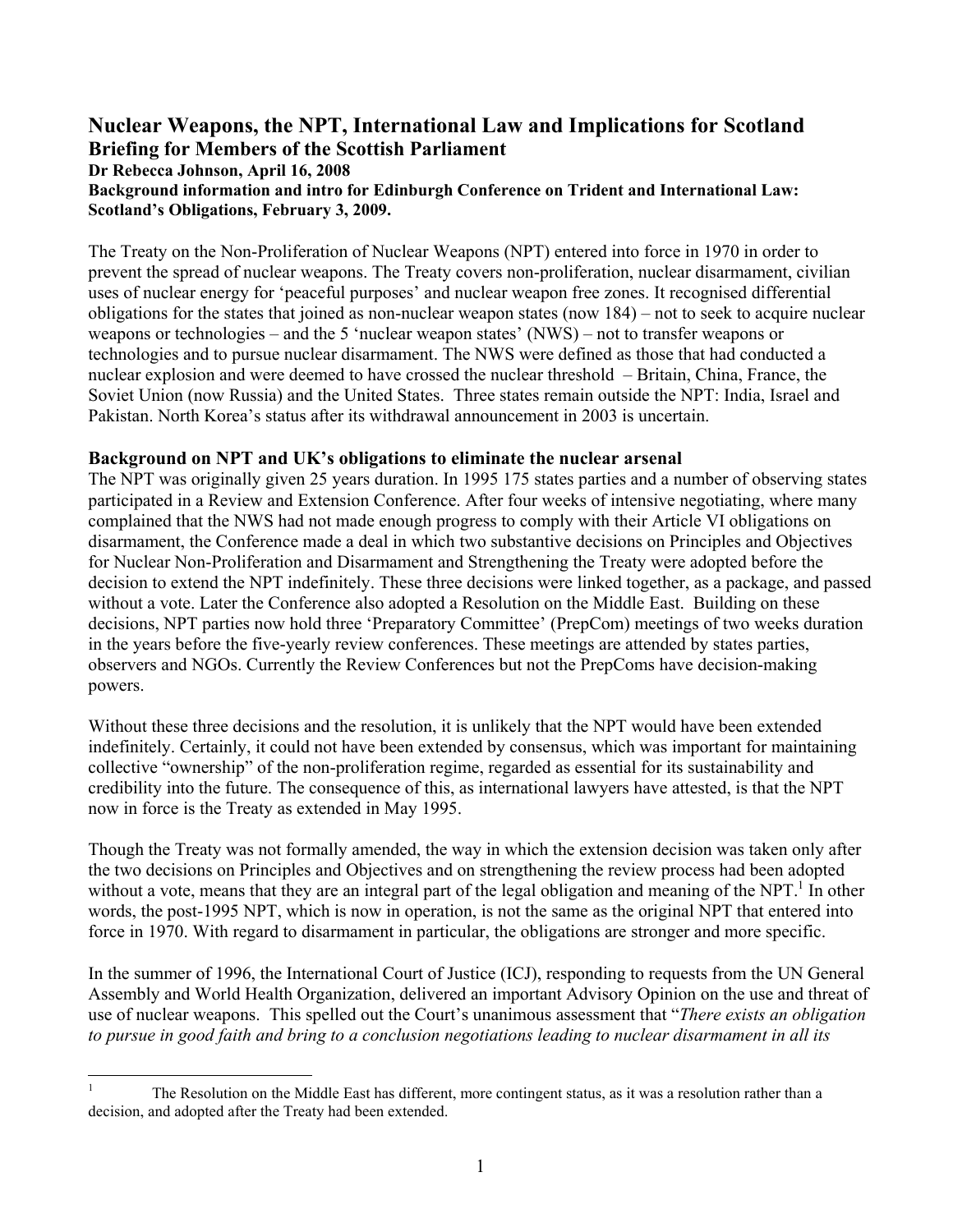# **Nuclear Weapons, the NPT, International Law and Implications for Scotland Briefing for Members of the Scottish Parliament Dr Rebecca Johnson, April 16, 2008**

**Background information and intro for Edinburgh Conference on Trident and International Law: Scotland's Obligations, February 3, 2009.** 

The Treaty on the Non-Proliferation of Nuclear Weapons (NPT) entered into force in 1970 in order to prevent the spread of nuclear weapons. The Treaty covers non-proliferation, nuclear disarmament, civilian uses of nuclear energy for 'peaceful purposes' and nuclear weapon free zones. It recognised differential obligations for the states that joined as non-nuclear weapon states (now 184) – not to seek to acquire nuclear weapons or technologies – and the 5 'nuclear weapon states' (NWS) – not to transfer weapons or technologies and to pursue nuclear disarmament. The NWS were defined as those that had conducted a nuclear explosion and were deemed to have crossed the nuclear threshold – Britain, China, France, the Soviet Union (now Russia) and the United States. Three states remain outside the NPT: India, Israel and Pakistan. North Korea's status after its withdrawal announcement in 2003 is uncertain.

### **Background on NPT and UK's obligations to eliminate the nuclear arsenal**

The NPT was originally given 25 years duration. In 1995 175 states parties and a number of observing states participated in a Review and Extension Conference. After four weeks of intensive negotiating, where many complained that the NWS had not made enough progress to comply with their Article VI obligations on disarmament, the Conference made a deal in which two substantive decisions on Principles and Objectives for Nuclear Non-Proliferation and Disarmament and Strengthening the Treaty were adopted before the decision to extend the NPT indefinitely. These three decisions were linked together, as a package, and passed without a vote. Later the Conference also adopted a Resolution on the Middle East. Building on these decisions, NPT parties now hold three 'Preparatory Committee' (PrepCom) meetings of two weeks duration in the years before the five-yearly review conferences. These meetings are attended by states parties, observers and NGOs. Currently the Review Conferences but not the PrepComs have decision-making powers.

Without these three decisions and the resolution, it is unlikely that the NPT would have been extended indefinitely. Certainly, it could not have been extended by consensus, which was important for maintaining collective "ownership" of the non-proliferation regime, regarded as essential for its sustainability and credibility into the future. The consequence of this, as international lawyers have attested, is that the NPT now in force is the Treaty as extended in May 1995.

Though the Treaty was not formally amended, the way in which the extension decision was taken only after the two decisions on Principles and Objectives and on strengthening the review process had been adopted without a vote, means that they are an integral part of the legal obligation and meaning of the NPT.<sup>[1](#page-0-0)</sup> In other words, the post-1995 NPT, which is now in operation, is not the same as the original NPT that entered into force in 1970. With regard to disarmament in particular, the obligations are stronger and more specific.

In the summer of 1996, the International Court of Justice (ICJ), responding to requests from the UN General Assembly and World Health Organization, delivered an important Advisory Opinion on the use and threat of use of nuclear weapons. This spelled out the Court's unanimous assessment that "*There exists an obligation to pursue in good faith and bring to a conclusion negotiations leading to nuclear disarmament in all its* 

<span id="page-0-0"></span> $\mathbf{1}$ 1 The Resolution on the Middle East has different, more contingent status, as it was a resolution rather than a decision, and adopted after the Treaty had been extended.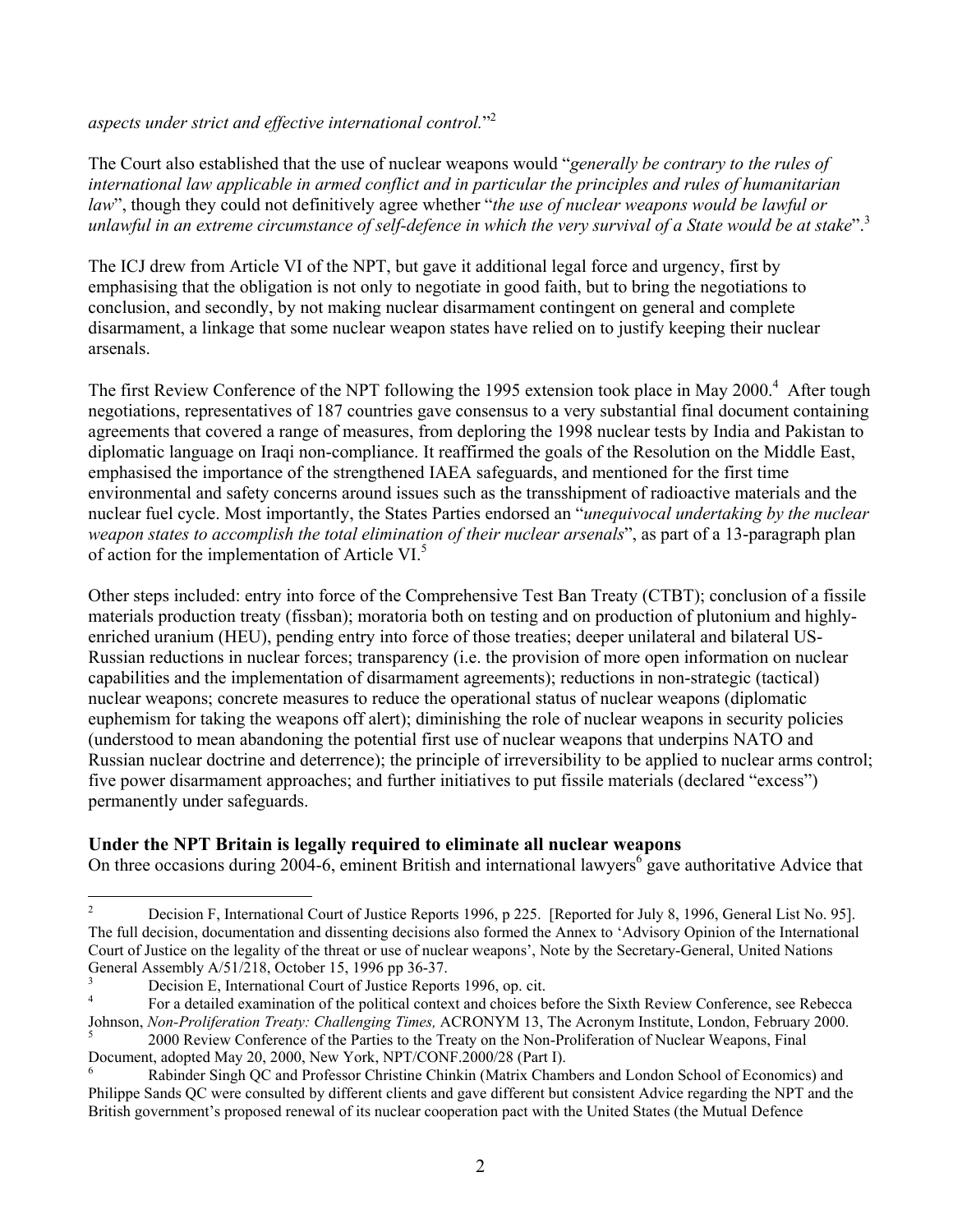<span id="page-1-4"></span>*aspects under strict and effective international control.*["2](#page-1-0)

The Court also established that the use of nuclear weapons would "*generally be contrary to the rules of international law applicable in armed conflict and in particular the principles and rules of humanitarian law*", though they could not definitively agree whether "*the use of nuclear weapons would be lawful or unlawful in an extreme circumstance of self-defence in which the very survival of a State would be at stake*"[.3](#page-1-1)

The ICJ drew from Article VI of the NPT, but gave it additional legal force and urgency, first by emphasising that the obligation is not only to negotiate in good faith, but to bring the negotiations to conclusion, and secondly, by not making nuclear disarmament contingent on general and complete disarmament, a linkage that some nuclear weapon states have relied on to justify keeping their nuclear arsenals.

The first Review Conference of the NPT following the 1995 extension took place in May 2000.<sup>4</sup> After tough negotiations, representatives of 187 countries gave consensus to a very substantial final document containing agreements that covered a range of measures, from deploring the 1998 nuclear tests by India and Pakistan to diplomatic language on Iraqi non-compliance. It reaffirmed the goals of the Resolution on the Middle East, emphasised the importance of the strengthened IAEA safeguards, and mentioned for the first time environmental and safety concerns around issues such as the transshipment of radioactive materials and the nuclear fuel cycle. Most importantly, the States Parties endorsed an "*unequivocal undertaking by the nuclear weapon states to accomplish the total elimination of their nuclear arsenals*", as part of a 13-paragraph plan of action for the implementation of Article VI.<sup>[5](#page-1-3)</sup>

Other steps included: entry into force of the Comprehensive Test Ban Treaty (CTBT); conclusion of a fissile materials production treaty (fissban); moratoria both on testing and on production of plutonium and highlyenriched uranium (HEU), pending entry into force of those treaties; deeper unilateral and bilateral US-Russian reductions in nuclear forces; transparency (i.e. the provision of more open information on nuclear capabilities and the implementation of disarmament agreements); reductions in non-strategic (tactical) nuclear weapons; concrete measures to reduce the operational status of nuclear weapons (diplomatic euphemism for taking the weapons off alert); diminishing the role of nuclear weapons in security policies (understood to mean abandoning the potential first use of nuclear weapons that underpins NATO and Russian nuclear doctrine and deterrence); the principle of irreversibility to be applied to nuclear arms control; five power disarmament approaches; and further initiatives to put fissile materials (declared "excess") permanently under safeguards.

## **Under the NPT Britain is legally required to eliminate all nuclear weapons**

On three occasions during  $200\overline{4}$ -[6](#page-1-4), eminent British and international lawyers<sup>6</sup> gave authoritative Advice that

<span id="page-1-0"></span> $\overline{2}$ 2 Decision F, International Court of Justice Reports 1996, p 225. [Reported for July 8, 1996, General List No. 95]. The full decision, documentation and dissenting decisions also formed the Annex to 'Advisory Opinion of the International Court of Justice on the legality of the threat or use of nuclear weapons', Note by the Secretary-General, United Nations General Assembly A/51/218, October 15, 1996 pp 36-37.<br>
Pecision E, International Court of Justice Reports 1996, op. cit.<br>
For a detailed examination of the political context and choices before the Sixth Review Conference,

<span id="page-1-1"></span>

<span id="page-1-2"></span>Johnson, *Non-Proliferation Treaty: Challenging Times,* ACRONYM 13, The Acronym Institute, London, February 2000.<br><sup>5</sup> 2000 Review Conference of the Parties to the Treaty on the Non-Proliferation of Nuclear Weapons, Final

<span id="page-1-3"></span>

Document, adopted May 20, 2000, New York, NPT/CONF.2000/28 (Part I).<br><sup>6</sup> Rabinder Singh QC and Professor Christine Chinkin (Matrix Chambers and London School of Economics) and Philippe Sands QC were consulted by different clients and gave different but consistent Advice regarding the NPT and the British government's proposed renewal of its nuclear cooperation pact with the United States (the Mutual Defence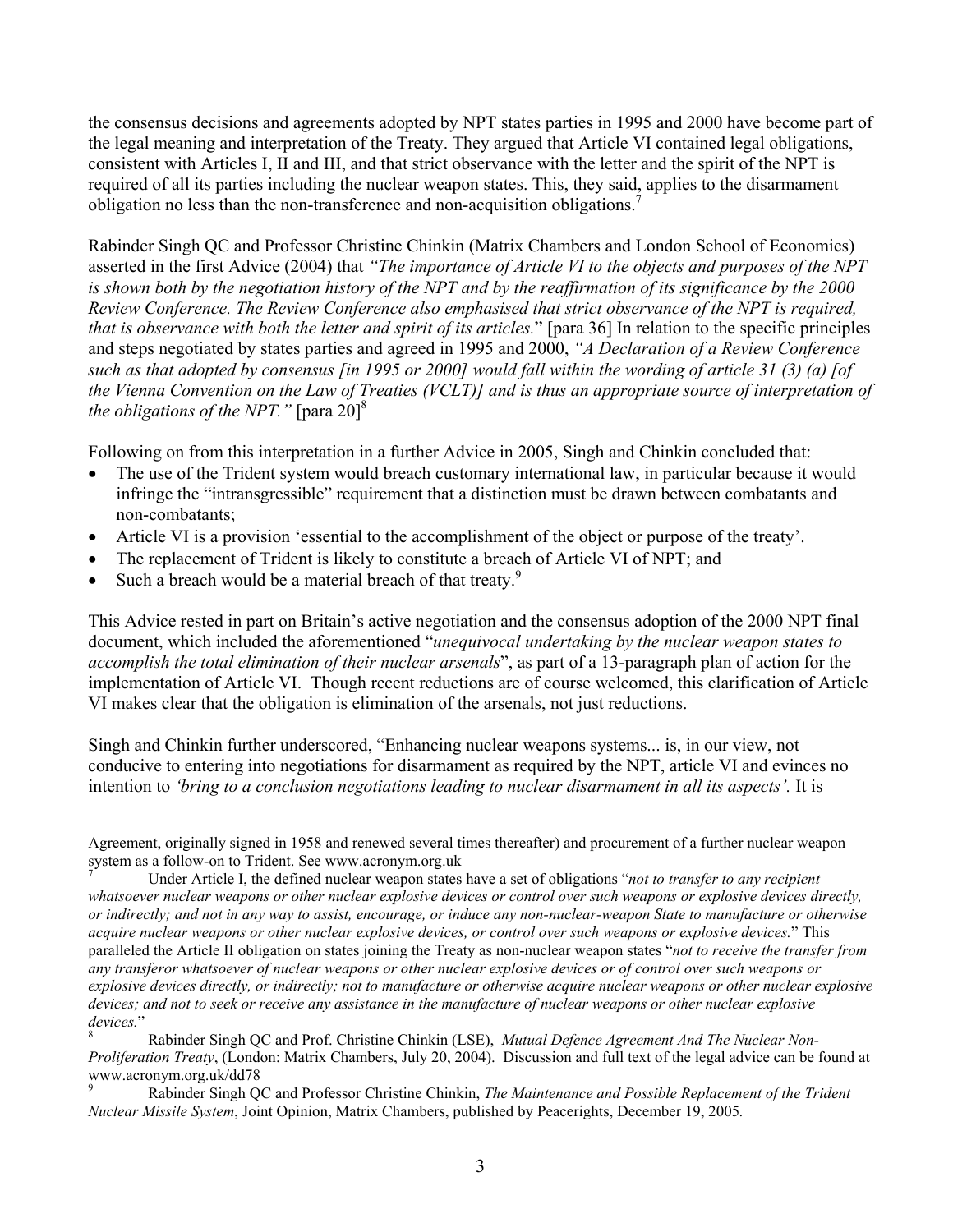the consensus decisions and agreements adopted by NPT states parties in 1995 and 2000 have become part of the legal meaning and interpretation of the Treaty. They argued that Article VI contained legal obligations, consistent with Articles I, II and III, and that strict observance with the letter and the spirit of the NPT is required of all its parties including the nuclear weapon states. This, they said, applies to the disarmament obligation no less than the non-transference and non-acquisition obligations[.7](#page-2-0)

Rabinder Singh QC and Professor Christine Chinkin (Matrix Chambers and London School of Economics) asserted in the first Advice (2004) that *"The importance of Article VI to the objects and purposes of the NPT is shown both by the negotiation history of the NPT and by the reaffirmation of its significance by the 2000 Review Conference. The Review Conference also emphasised that strict observance of the NPT is required, that is observance with both the letter and spirit of its articles.*" [para 36] In relation to the specific principles and steps negotiated by states parties and agreed in 1995 and 2000, *"A Declaration of a Review Conference such as that adopted by consensus [in 1995 or 2000] would fall within the wording of article 31 (3) (a) [of the Vienna Convention on the Law of Treaties (VCLT)] and is thus an appropriate source of interpretation of the obligations of the NPT.* " [para 20]<sup>8</sup>

Following on from this interpretation in a further Advice in 2005, Singh and Chinkin concluded that:

- The use of the Trident system would breach customary international law, in particular because it would infringe the "intransgressible" requirement that a distinction must be drawn between combatants and non-combatants;
- Article VI is a provision 'essential to the accomplishment of the object or purpose of the treaty'.
- The replacement of Trident is likely to constitute a breach of Article VI of NPT; and
- Such a breach would be a material breach of that treaty.<sup>[9](#page-2-2)</sup>

This Advice rested in part on Britain's active negotiation and the consensus adoption of the 2000 NPT final document, which included the aforementioned "*unequivocal undertaking by the nuclear weapon states to accomplish the total elimination of their nuclear arsenals*", as part of a 13-paragraph plan of action for the implementation of Article VI. Though recent reductions are of course welcomed, this clarification of Article VI makes clear that the obligation is elimination of the arsenals, not just reductions.

Singh and Chinkin further underscored, "Enhancing nuclear weapons systems... is, in our view, not conducive to entering into negotiations for disarmament as required by the NPT, article VI and evinces no intention to *'bring to a conclusion negotiations leading to nuclear disarmament in all its aspects'*. It is

Agreement, originally signed in 1958 and renewed several times thereafter) and procurement of a further nuclear weapon system as a follow-on to Trident. See www.acronym.org.uk<br><sup>7</sup> Under Article I, the defined nuclear weapon states have a set of obligations "*not to transfer to any recipient* 

<span id="page-2-0"></span>*whatsoever nuclear weapons or other nuclear explosive devices or control over such weapons or explosive devices directly, or indirectly; and not in any way to assist, encourage, or induce any non-nuclear-weapon State to manufacture or otherwise acquire nuclear weapons or other nuclear explosive devices, or control over such weapons or explosive devices.*" This paralleled the Article II obligation on states joining the Treaty as non-nuclear weapon states "*not to receive the transfer from any transferor whatsoever of nuclear weapons or other nuclear explosive devices or of control over such weapons or explosive devices directly, or indirectly; not to manufacture or otherwise acquire nuclear weapons or other nuclear explosive devices; and not to seek or receive any assistance in the manufacture of nuclear weapons or other nuclear explosive*  devices."<br><sup>8</sup> Rabinder Singh QC and Prof. Christine Chinkin (LSE), *Mutual Defence Agreement And The Nuclear Non-*

<span id="page-2-1"></span>*Proliferation Treaty*, (London: Matrix Chambers, July 20, 2004). Discussion and full text of the legal advice can be found at

<span id="page-2-2"></span>www.acronym.org.uk/dd78<br><sup>9</sup> Rabinder Singh QC and Professor Christine Chinkin, *The Maintenance and Possible Replacement of the Trident Nuclear Missile System*, Joint Opinion, Matrix Chambers, published by Peacerights, December 19, 2005*.*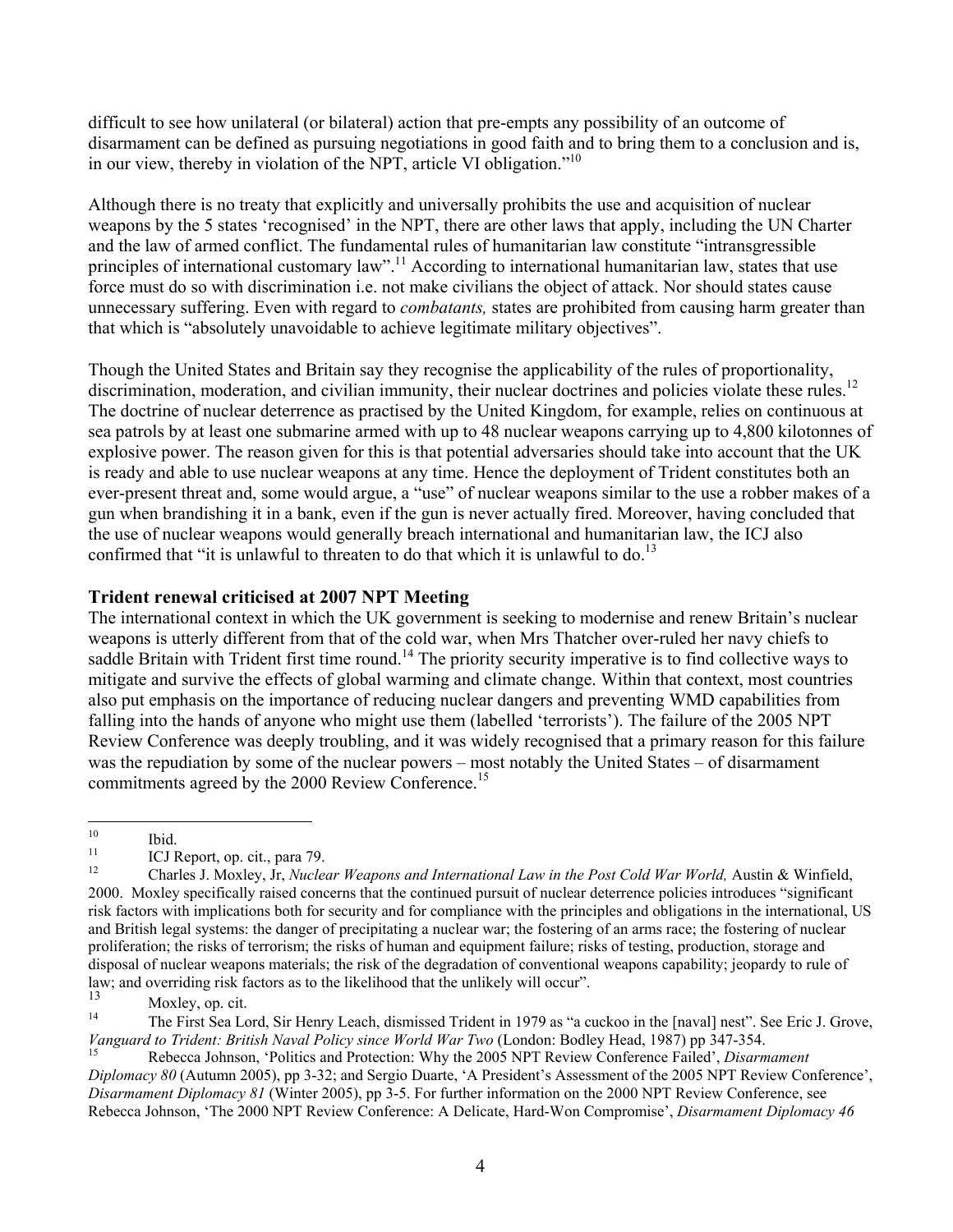<span id="page-3-5"></span>difficult to see how unilateral (or bilateral) action that pre-empts any possibility of an outcome of disarmament can be defined as pursuing negotiations in good faith and to bring them to a conclusion and is, in our view, thereby in violation of the NPT, article VI obligation.["10](#page-3-0)

Although there is no treaty that explicitly and universally prohibits the use and acquisition of nuclear weapons by the 5 states 'recognised' in the NPT, there are other laws that apply, including the UN Charter and the law of armed conflict. The fundamental rules of humanitarian law constitute "intransgressible principles of international customary law".<sup>11</sup> According to international humanitarian law, states that use force must do so with discrimination i.e. not make civilians the object of attack. Nor should states cause unnecessary suffering. Even with regard to *combatants,* states are prohibited from causing harm greater than that which is "absolutely unavoidable to achieve legitimate military objectives".

Though the United States and Britain say they recognise the applicability of the rules of proportionality, discrimination, moderation, and civilian immunity, their nuclear doctrines and policies violate these rules.<sup>12</sup> The doctrine of nuclear deterrence as practised by the United Kingdom, for example, relies on continuous at sea patrols by at least one submarine armed with up to 48 nuclear weapons carrying up to 4,800 kilotonnes of explosive power. The reason given for this is that potential adversaries should take into account that the UK is ready and able to use nuclear weapons at any time. Hence the deployment of Trident constitutes both an ever-present threat and, some would argue, a "use" of nuclear weapons similar to the use a robber makes of a gun when brandishing it in a bank, even if the gun is never actually fired. Moreover, having concluded that the use of nuclear weapons would generally breach international and humanitarian law, the ICJ also confirmed that "it is unlawful to threaten to do that which it is unlawful to do.<sup>13</sup>

## **Trident renewal criticised at 2007 NPT Meeting**

The international context in which the UK government is seeking to modernise and renew Britain's nuclear weapons is utterly different from that of the cold war, when Mrs Thatcher over-ruled her navy chiefs to saddle Britain with Trident first time round.<sup>14</sup> The priority security imperative is to find collective ways to mitigate and survive the effects of global warming and climate change. Within that context, most countries also put emphasis on the importance of reducing nuclear dangers and preventing WMD capabilities from falling into the hands of anyone who might use them (labelled 'terrorists'). The failure of the 2005 NPT Review Conference was deeply troubling, and it was widely recognised that a primary reason for this failure was the repudiation by some of the nuclear powers – most notably the United States – of disarmament commitments agreed by the 2000 Review Conference.<sup>[15](#page-3-5)</sup>

<span id="page-3-0"></span> $10<sup>10</sup>$ 

<span id="page-3-2"></span><span id="page-3-1"></span>

<sup>&</sup>lt;sup>10</sup> Ibid.<br><sup>11</sup> ICJ Report, op. cit., para 79.<br><sup>12</sup> Charles J. Moxley, Jr, *Nuclear Weapons and International Law in the Post Cold War World, Austin & Winfield,* 2000. Moxley specifically raised concerns that the continued pursuit of nuclear deterrence policies introduces "significant risk factors with implications both for security and for compliance with the principles and obligations in the international, US and British legal systems: the danger of precipitating a nuclear war; the fostering of an arms race; the fostering of nuclear proliferation; the risks of terrorism; the risks of human and equipment failure; risks of testing, production, storage and disposal of nuclear weapons materials; the risk of the degradation of conventional weapons capability; jeopardy to rule of law; and overriding risk factors as to the likelihood that the unlikely will occur".

<span id="page-3-3"></span> $\frac{13}{14}$  Moxley, op. cit.

<span id="page-3-4"></span><sup>14</sup> The First Sea Lord, Sir Henry Leach, dismissed Trident in 1979 as "a cuckoo in the [naval] nest". See Eric J. Grove, *Vanguard to Trident: British Naval Policy since World War Two* (London: Bodley Head, 1987) pp 347-354. 15 Rebecca Johnson, 'Politics and Protection: Why the 2005 NPT Review Conference Failed', *Disarmament* 

*Diplomacy 80* (Autumn 2005), pp 3-32; and Sergio Duarte, 'A President's Assessment of the 2005 NPT Review Conference', *Disarmament Diplomacy 81* (Winter 2005), pp 3-5. For further information on the 2000 NPT Review Conference, see Rebecca Johnson, 'The 2000 NPT Review Conference: A Delicate, Hard-Won Compromise', *Disarmament Diplomacy 46*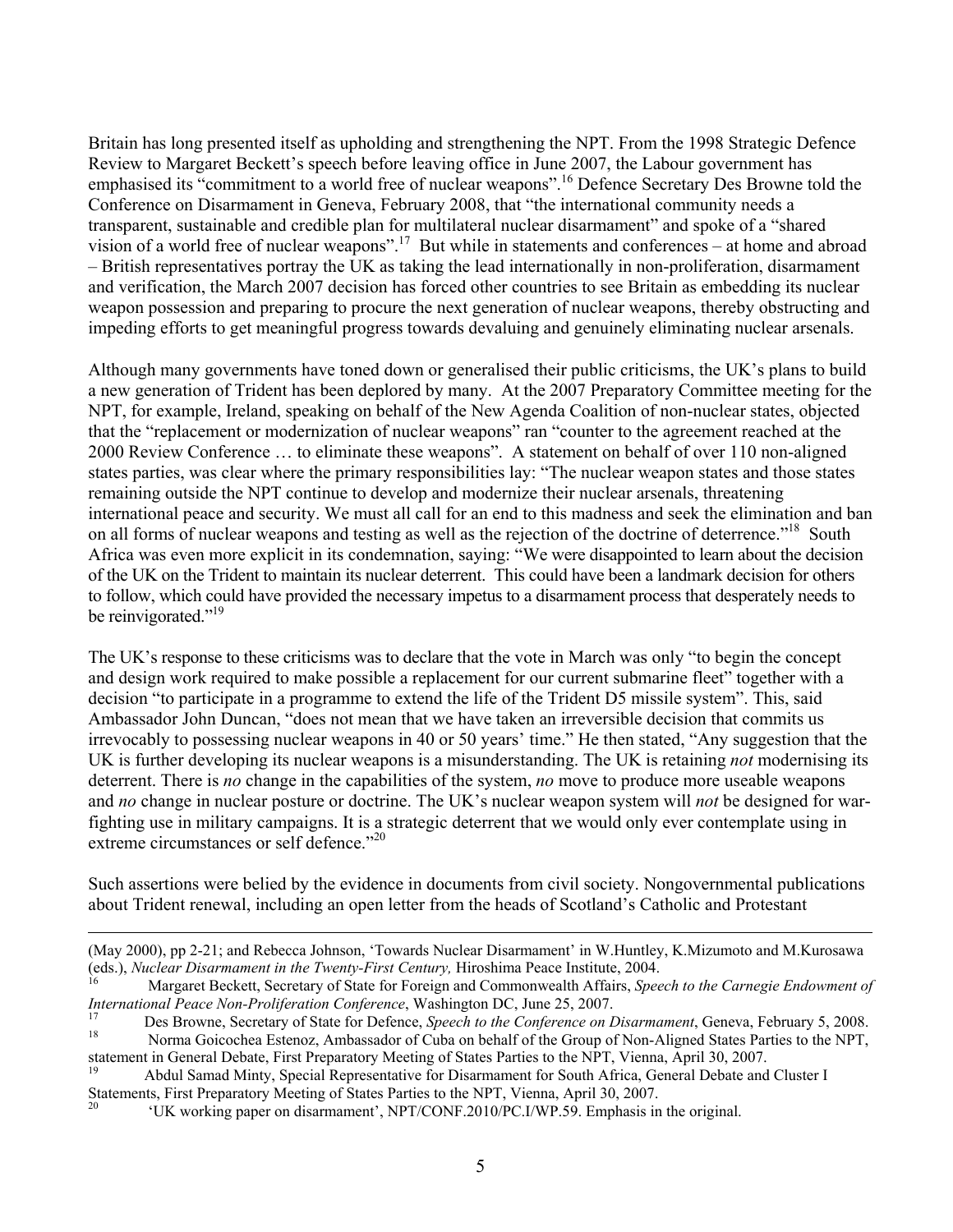Britain has long presented itself as upholding and strengthening the NPT. From the 1998 Strategic Defence Review to Margaret Beckett's speech before leaving office in June 2007, the Labour government has emphasised its "commitment to a world free of nuclear weapons".[16](#page-4-0) Defence Secretary Des Browne told the Conference on Disarmament in Geneva, February 2008, that "the international community needs a transparent, sustainable and credible plan for multilateral nuclear disarmament" and spoke of a "shared vision of a world free of nuclear weapons".[17](#page-4-1) But while in statements and conferences – at home and abroad – British representatives portray the UK as taking the lead internationally in non-proliferation, disarmament and verification, the March 2007 decision has forced other countries to see Britain as embedding its nuclear weapon possession and preparing to procure the next generation of nuclear weapons, thereby obstructing and impeding efforts to get meaningful progress towards devaluing and genuinely eliminating nuclear arsenals.

Although many governments have toned down or generalised their public criticisms, the UK's plans to build a new generation of Trident has been deplored by many. At the 2007 Preparatory Committee meeting for the NPT, for example, Ireland, speaking on behalf of the New Agenda Coalition of non-nuclear states, objected that the "replacement or modernization of nuclear weapons" ran "counter to the agreement reached at the 2000 Review Conference … to eliminate these weapons". A statement on behalf of over 110 non-aligned states parties, was clear where the primary responsibilities lay: "The nuclear weapon states and those states remaining outside the NPT continue to develop and modernize their nuclear arsenals, threatening international peace and security. We must all call for an end to this madness and seek the elimination and ban on all forms of nuclear weapons and testing as well as the rejection of the doctrine of deterrence."<sup>18</sup> South Africa was even more explicit in its condemnation, saying: "We were disappointed to learn about the decision of the UK on the Trident to maintain its nuclear deterrent. This could have been a landmark decision for others to follow, which could have provided the necessary impetus to a disarmament process that desperately needs to be reinvigorated."<sup>19</sup>

The UK's response to these criticisms was to declare that the vote in March was only "to begin the concept and design work required to make possible a replacement for our current submarine fleet" together with a decision "to participate in a programme to extend the life of the Trident D5 missile system". This, said Ambassador John Duncan, "does not mean that we have taken an irreversible decision that commits us irrevocably to possessing nuclear weapons in 40 or 50 years' time." He then stated, "Any suggestion that the UK is further developing its nuclear weapons is a misunderstanding. The UK is retaining *not* modernising its deterrent. There is *no* change in the capabilities of the system, *no* move to produce more useable weapons and *no* change in nuclear posture or doctrine. The UK's nuclear weapon system will *not* be designed for warfighting use in military campaigns. It is a strategic deterrent that we would only ever contemplate using in extreme circumstances or self defence."<sup>20</sup>

Such assertions were belied by the evidence in documents from civil society. Nongovernmental publications about Trident renewal, including an open letter from the heads of Scotland's Catholic and Protestant

<span id="page-4-3"></span>Statements, First Preparatory Meeting of States Parties to the NPT, Vienna, April 30, 2007.<br><sup>20</sup> 'UK working paper on disarmament', NPT/CONF.2010/PC.I/WP.59. Emphasis in the original.

 <sup>(</sup>May 2000), pp 2-21; and Rebecca Johnson, 'Towards Nuclear Disarmament' in W.Huntley, K.Mizumoto and M.Kurosawa (eds.), *Nuclear Disarmament in the Twenty-First Century*, Hiroshima Peace Institute, 2004.<br><sup>16</sup> Margaret Beckett, Secretary of State for Foreign and Commonwealth Affairs, *Speech to the Carnegie Endowment of* 

<span id="page-4-0"></span>

<span id="page-4-1"></span>International Peace Non-Proliferation Conference, Washington DC, June 25, 2007.<br>
Des Browne, Secretary of State for Defence, Speech to the Conference on Disarmament, Geneva, February 5, 2008.<br>
Norma Goicochea Estenoz, Amba

<span id="page-4-2"></span>statement in General Debate, First Preparatory Meeting of States Parties to the NPT, Vienna, April 30, 2007.<br><sup>19</sup> Abdul Samad Minty, Special Representative for Disarmament for South Africa, General Debate and Cluster I

<span id="page-4-4"></span>